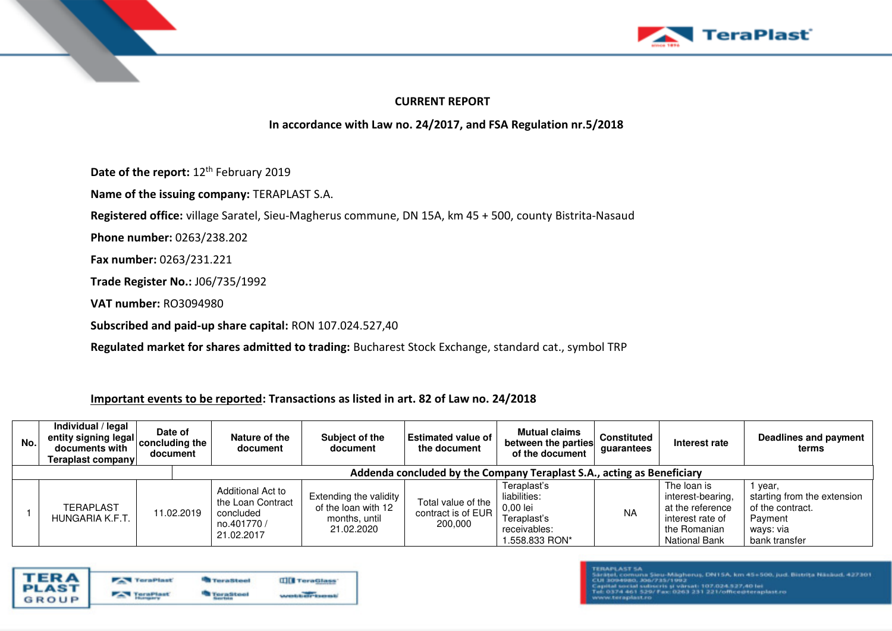



## **CURRENT REPORT**

# **In accordance with Law no. 24/2017, and FSA Regulation nr.5/2018**

Date of the report: 12<sup>th</sup> February 2019

**Name of the issuing company:** TERAPLAST S.A.

**Registered office:** village Saratel, Sieu-Magherus commune, DN 15A, km 45 + 500, county Bistrita-Nasaud

**Phone number:** 0263/238.202

**Fax number:** 0263/231.221

**Trade Register No.:** J06/735/1992

**VAT number:** RO3094980

**Subscribed and paid-up share capital:** RON 107.024.527,40

**Regulated market for shares admitted to trading:** Bucharest Stock Exchange, standard cat., symbol TRP

### **Important events to be reported: Transactions as listed in art. 82 of Law no. 24/2018**

| No.l                                                                   | Individual / legal<br>entity signing legal $ $ concluding the $ $<br>documents with<br><b>Teraplast company</b> | Date of<br>document | Nature of the<br>document                                                       | Subject of the<br>document                                                     | <b>Estimated value of I</b><br>the document           | <b>Mutual claims</b><br>between the parties<br>of the document                           | <b>Constituted</b><br>quarantees | Interest rate                                                                                                    | Deadlines and payment<br>terms                                                                    |
|------------------------------------------------------------------------|-----------------------------------------------------------------------------------------------------------------|---------------------|---------------------------------------------------------------------------------|--------------------------------------------------------------------------------|-------------------------------------------------------|------------------------------------------------------------------------------------------|----------------------------------|------------------------------------------------------------------------------------------------------------------|---------------------------------------------------------------------------------------------------|
| Addenda concluded by the Company Teraplast S.A., acting as Beneficiary |                                                                                                                 |                     |                                                                                 |                                                                                |                                                       |                                                                                          |                                  |                                                                                                                  |                                                                                                   |
|                                                                        | <b>TERAPLAST</b><br>HUNGARIA K.F.T                                                                              | 11.02.2019          | Additional Act to<br>the Loan Contract<br>concluded<br>no.401770/<br>21.02.2017 | Extending the validity  <br>of the loan with 12<br>months, until<br>21.02.2020 | Total value of the<br>contract is of EUR  <br>200,000 | Teraplast's<br>liabilities:<br>0,00 lei<br>Teraplast's<br>receivables:<br>1.558.833 RON* | <b>NA</b>                        | The loan is<br>interest-bearing,<br>at the reference<br>interest rate of<br>the Romanian<br><b>National Bank</b> | year,<br>starting from the extension<br>of the contract.<br>Payment<br>ways: via<br>bank transfer |

|                               | <b>TernPlast</b> | <b>Terraftheed</b> | <b>IIII</b> TeraGlass |
|-------------------------------|------------------|--------------------|-----------------------|
| <b>TERA</b><br>PLAST<br>GROUP |                  |                    |                       |

#### **TERAPLAST SA**

Sárátel, comuna Sieu-Mágherus, DN1SA, km 45+500, jud. Bistrita Násáud, 427301<br>CUI 3094980, JO6/735/1993

ital social subscris și vărsat: 107.024.127,40 lei<br>.0374 461 529/ Fax: 0263 231 221/office@teraplast.rc

ctoraplast.co